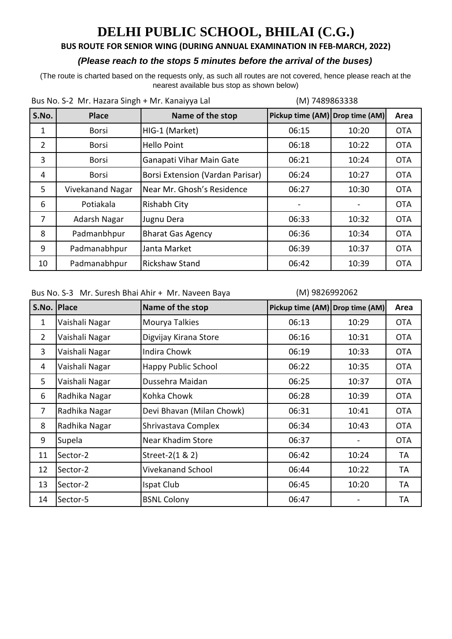### **BUS ROUTE FOR SENIOR WING (DURING ANNUAL EXAMINATION IN FEB-MARCH, 2022)**

#### *(Please reach to the stops 5 minutes before the arrival of the buses)*

(The route is charted based on the requests only, as such all routes are not covered, hence please reach at the nearest available bus stop as shown below)

| Bus No. S-2 Mr. Hazara Singh + Mr. Kanaiyya Lal |                  | (M) 7489863338                   |                                 |       |            |
|-------------------------------------------------|------------------|----------------------------------|---------------------------------|-------|------------|
| S.No.                                           | <b>Place</b>     | Name of the stop                 | Pickup time (AM) Drop time (AM) |       | Area       |
| 1                                               | <b>Borsi</b>     | HIG-1 (Market)                   | 06:15                           | 10:20 | <b>OTA</b> |
| $\overline{2}$                                  | <b>Borsi</b>     | <b>Hello Point</b>               | 06:18                           | 10:22 | <b>OTA</b> |
| 3                                               | <b>Borsi</b>     | Ganapati Vihar Main Gate         | 06:21                           | 10:24 | <b>OTA</b> |
| 4                                               | <b>Borsi</b>     | Borsi Extension (Vardan Parisar) | 06:24                           | 10:27 | <b>OTA</b> |
| 5                                               | Vivekanand Nagar | Near Mr. Ghosh's Residence       | 06:27                           | 10:30 | <b>OTA</b> |
| 6                                               | Potiakala        | Rishabh City                     |                                 |       | <b>OTA</b> |
| $\overline{7}$                                  | Adarsh Nagar     | Jugnu Dera                       | 06:33                           | 10:32 | <b>OTA</b> |
| 8                                               | Padmanbhpur      | <b>Bharat Gas Agency</b>         | 06:36                           | 10:34 | <b>OTA</b> |
| 9                                               | Padmanabhpur     | Janta Market                     | 06:39                           | 10:37 | <b>OTA</b> |
| 10                                              | Padmanabhpur     | <b>Rickshaw Stand</b>            | 06:42                           | 10:39 | <b>OTA</b> |

Bus No. S-3 Mr. Suresh Bhai Ahir + Mr. Naveen Baya

#### (M) 9826992062

| S.No. Place    |                | Name of the stop           | Pickup time (AM) Drop time (AM) |       | Area       |
|----------------|----------------|----------------------------|---------------------------------|-------|------------|
| 1              | Vaishali Nagar | Mourya Talkies             | 06:13                           | 10:29 | <b>OTA</b> |
| $\overline{2}$ | Vaishali Nagar | Digvijay Kirana Store      | 06:16                           | 10:31 | <b>OTA</b> |
| 3              | Vaishali Nagar | <b>Indira Chowk</b>        | 06:19                           | 10:33 | <b>OTA</b> |
| 4              | Vaishali Nagar | <b>Happy Public School</b> | 06:22                           | 10:35 | <b>OTA</b> |
| 5              | Vaishali Nagar | Dussehra Maidan            | 06:25                           | 10:37 | <b>OTA</b> |
| 6              | Radhika Nagar  | Kohka Chowk                | 06:28                           | 10:39 | <b>OTA</b> |
| $\overline{7}$ | Radhika Nagar  | Devi Bhavan (Milan Chowk)  | 06:31                           | 10:41 | <b>OTA</b> |
| 8              | Radhika Nagar  | Shrivastava Complex        | 06:34                           | 10:43 | <b>OTA</b> |
| 9              | Supela         | Near Khadim Store          | 06:37                           |       | <b>OTA</b> |
| 11             | Sector-2       | Street-2(1 & 2)            | 06:42                           | 10:24 | TA         |
| 12             | Sector-2       | <b>Vivekanand School</b>   | 06:44                           | 10:22 | TA         |
| 13             | Sector-2       | Ispat Club                 | 06:45                           | 10:20 | TA         |
| 14             | Sector-5       | <b>BSNL Colony</b>         | 06:47                           |       | TA         |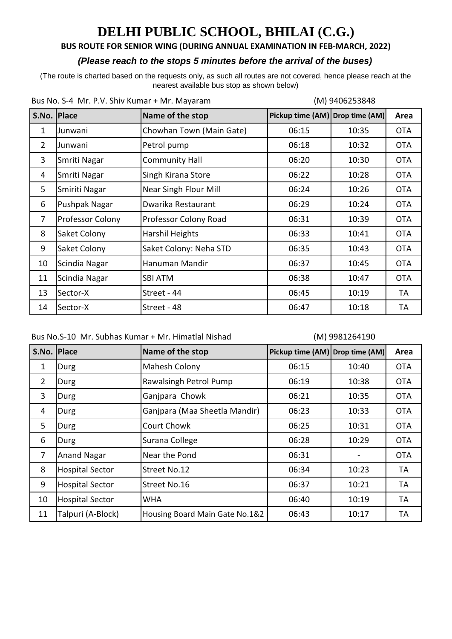### **BUS ROUTE FOR SENIOR WING (DURING ANNUAL EXAMINATION IN FEB-MARCH, 2022)**

#### *(Please reach to the stops 5 minutes before the arrival of the buses)*

(The route is charted based on the requests only, as such all routes are not covered, hence please reach at the nearest available bus stop as shown below)

| Bus No. S-4 Mr. P.V. Shiv Kumar + Mr. Mayaram |                  |                          | (M) 9406253848                  |       |            |
|-----------------------------------------------|------------------|--------------------------|---------------------------------|-------|------------|
| S.No. Place                                   |                  | Name of the stop         | Pickup time (AM) Drop time (AM) |       | Area       |
| 1                                             | Junwani          | Chowhan Town (Main Gate) | 06:15                           | 10:35 | <b>OTA</b> |
| $\overline{2}$                                | Junwani          | Petrol pump              | 06:18                           | 10:32 | <b>OTA</b> |
| 3                                             | Smriti Nagar     | <b>Community Hall</b>    | 06:20                           | 10:30 | <b>OTA</b> |
| 4                                             | Smriti Nagar     | Singh Kirana Store       | 06:22                           | 10:28 | <b>OTA</b> |
| 5                                             | Smiriti Nagar    | Near Singh Flour Mill    | 06:24                           | 10:26 | <b>OTA</b> |
| 6                                             | Pushpak Nagar    | Dwarika Restaurant       | 06:29                           | 10:24 | <b>OTA</b> |
| $\overline{7}$                                | Professor Colony | Professor Colony Road    | 06:31                           | 10:39 | <b>OTA</b> |
| 8                                             | Saket Colony     | Harshil Heights          | 06:33                           | 10:41 | <b>OTA</b> |
| 9                                             | Saket Colony     | Saket Colony: Neha STD   | 06:35                           | 10:43 | <b>OTA</b> |
| 10                                            | Scindia Nagar    | Hanuman Mandir           | 06:37                           | 10:45 | <b>OTA</b> |
| 11                                            | Scindia Nagar    | <b>SBI ATM</b>           | 06:38                           | 10:47 | <b>OTA</b> |
| 13                                            | Sector-X         | Street - 44              | 06:45                           | 10:19 | TA         |
| 14                                            | Sector-X         | Street - 48              | 06:47                           | 10:18 | TA         |

Bus No. S-4 Mr. P.V. Shiv Kumar + Mr. Mayaram

#### (M) 9981264190

| S.No.          | <b>Place</b>           | Name of the stop               | Pickup time (AM) Drop time (AM) |       | Area       |
|----------------|------------------------|--------------------------------|---------------------------------|-------|------------|
| $\mathbf{1}$   | Durg                   | Mahesh Colony                  | 06:15                           | 10:40 | <b>OTA</b> |
| $\overline{2}$ | Durg                   | Rawalsingh Petrol Pump         | 06:19                           | 10:38 | <b>OTA</b> |
| 3              | Durg                   | Ganjpara Chowk                 | 06:21                           | 10:35 | <b>OTA</b> |
| 4              | Durg                   | Ganjpara (Maa Sheetla Mandir)  | 06:23                           | 10:33 | <b>OTA</b> |
| 5              | Durg                   | <b>Court Chowk</b>             | 06:25                           | 10:31 | <b>OTA</b> |
| 6              | Durg                   | Surana College                 | 06:28                           | 10:29 | <b>OTA</b> |
| $\overline{7}$ | <b>Anand Nagar</b>     | Near the Pond                  | 06:31                           |       | <b>OTA</b> |
| 8              | <b>Hospital Sector</b> | Street No.12                   | 06:34                           | 10:23 | TA         |
| 9              | <b>Hospital Sector</b> | Street No.16                   | 06:37                           | 10:21 | TA         |
| 10             | <b>Hospital Sector</b> | WHA                            | 06:40                           | 10:19 | TA         |
| 11             | Talpuri (A-Block)      | Housing Board Main Gate No.1&2 | 06:43                           | 10:17 | ТA         |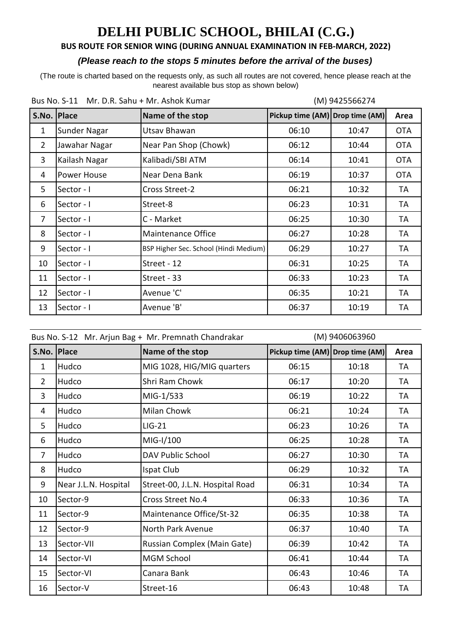### **BUS ROUTE FOR SENIOR WING (DURING ANNUAL EXAMINATION IN FEB-MARCH, 2022)**

### *(Please reach to the stops 5 minutes before the arrival of the buses)*

(The route is charted based on the requests only, as such all routes are not covered, hence please reach at the nearest available bus stop as shown below)

| Bus No. S-11 Mr. D.R. Sahu + Mr. Ashok Kumar |               |                                       | (M) 9425566274                  |       |            |
|----------------------------------------------|---------------|---------------------------------------|---------------------------------|-------|------------|
| S.No. Place                                  |               | Name of the stop                      | Pickup time (AM) Drop time (AM) |       | Area       |
| 1                                            | Sunder Nagar  | Utsav Bhawan                          | 06:10                           | 10:47 | <b>OTA</b> |
| $\overline{2}$                               | Jawahar Nagar | Near Pan Shop (Chowk)                 | 06:12                           | 10:44 | <b>OTA</b> |
| 3                                            | Kailash Nagar | Kalibadi/SBI ATM                      | 06:14                           | 10:41 | <b>OTA</b> |
| 4                                            | Power House   | Near Dena Bank                        | 06:19                           | 10:37 | <b>OTA</b> |
| 5                                            | Sector - I    | Cross Street-2                        | 06:21                           | 10:32 | TA         |
| 6                                            | Sector - I    | Street-8                              | 06:23                           | 10:31 | TA         |
| 7                                            | Sector - I    | C - Market                            | 06:25                           | 10:30 | TA         |
| 8                                            | Sector - I    | <b>Maintenance Office</b>             | 06:27                           | 10:28 | TA         |
| 9                                            | Sector - I    | BSP Higher Sec. School (Hindi Medium) | 06:29                           | 10:27 | TA         |
| 10                                           | Sector - I    | Street - 12                           | 06:31                           | 10:25 | TA         |
| 11                                           | Sector - I    | Street - 33                           | 06:33                           | 10:23 | TA         |
| 12                                           | Sector - I    | Avenue 'C'                            | 06:35                           | 10:21 | TA         |
| 13                                           | Sector - I    | Avenue 'B'                            | 06:37                           | 10:19 | TA         |

|                | (M) 9406063960<br>Bus No. S-12 Mr. Arjun Bag + Mr. Premnath Chandrakar |                                 |                                 |       |           |
|----------------|------------------------------------------------------------------------|---------------------------------|---------------------------------|-------|-----------|
| S.No.          | <b>Place</b>                                                           | Name of the stop                | Pickup time (AM) Drop time (AM) |       | Area      |
| $\mathbf{1}$   | Hudco                                                                  | MIG 1028, HIG/MIG quarters      | 06:15                           | 10:18 | TA        |
| $\overline{2}$ | Hudco                                                                  | Shri Ram Chowk                  | 06:17                           | 10:20 | TA        |
| 3              | Hudco                                                                  | MIG-1/533                       | 06:19                           | 10:22 | <b>TA</b> |
| 4              | Hudco                                                                  | Milan Chowk                     | 06:21                           | 10:24 | TA        |
| 5              | Hudco                                                                  | $LIG-21$                        | 06:23                           | 10:26 | TA        |
| 6              | Hudco                                                                  | MIG-I/100                       | 06:25                           | 10:28 | TA        |
| $\overline{7}$ | Hudco                                                                  | DAV Public School               | 06:27                           | 10:30 | TA        |
| 8              | Hudco                                                                  | Ispat Club                      | 06:29                           | 10:32 | TA        |
| 9              | Near J.L.N. Hospital                                                   | Street-00, J.L.N. Hospital Road | 06:31                           | 10:34 | TA        |
| 10             | Sector-9                                                               | <b>Cross Street No.4</b>        | 06:33                           | 10:36 | TA        |
| 11             | Sector-9                                                               | Maintenance Office/St-32        | 06:35                           | 10:38 | TA        |
| 12             | Sector-9                                                               | North Park Avenue               | 06:37                           | 10:40 | <b>TA</b> |
| 13             | Sector-VII                                                             | Russian Complex (Main Gate)     | 06:39                           | 10:42 | TA        |
| 14             | Sector-VI                                                              | <b>MGM School</b>               | 06:41                           | 10:44 | <b>TA</b> |
| 15             | Sector-VI                                                              | Canara Bank                     | 06:43                           | 10:46 | TA        |
| 16             | Sector-V                                                               | Street-16                       | 06:43                           | 10:48 | TA        |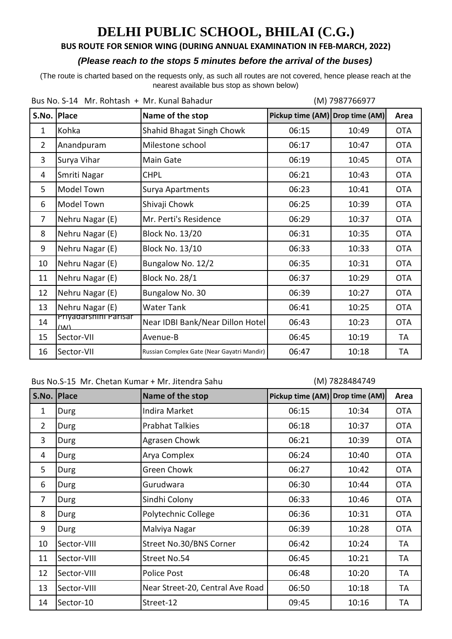### **BUS ROUTE FOR SENIOR WING (DURING ANNUAL EXAMINATION IN FEB-MARCH, 2022)**

#### *(Please reach to the stops 5 minutes before the arrival of the buses)*

(The route is charted based on the requests only, as such all routes are not covered, hence please reach at the nearest available bus stop as shown below)

| Bus No. S-14 Mr. Rohtash + Mr. Kunal Bahadur |                                       |                                            | (M) 7987766977                  |       |            |
|----------------------------------------------|---------------------------------------|--------------------------------------------|---------------------------------|-------|------------|
| S.No.                                        | <b>Place</b>                          | Name of the stop                           | Pickup time (AM) Drop time (AM) |       | Area       |
| $\mathbf{1}$                                 | Kohka                                 | Shahid Bhagat Singh Chowk                  | 06:15                           | 10:49 | <b>OTA</b> |
| $\overline{2}$                               | Anandpuram                            | Milestone school                           | 06:17                           | 10:47 | <b>OTA</b> |
| 3                                            | Surya Vihar                           | Main Gate                                  | 06:19                           | 10:45 | <b>OTA</b> |
| 4                                            | Smriti Nagar                          | <b>CHPL</b>                                | 06:21                           | 10:43 | <b>OTA</b> |
| 5                                            | Model Town                            | Surya Apartments                           | 06:23                           | 10:41 | <b>OTA</b> |
| 6                                            | Model Town                            | Shivaji Chowk                              | 06:25                           | 10:39 | <b>OTA</b> |
| $\overline{7}$                               | Nehru Nagar (E)                       | Mr. Perti's Residence                      | 06:29                           | 10:37 | <b>OTA</b> |
| 8                                            | Nehru Nagar (E)                       | <b>Block No. 13/20</b>                     | 06:31                           | 10:35 | <b>OTA</b> |
| 9                                            | Nehru Nagar (E)                       | <b>Block No. 13/10</b>                     | 06:33                           | 10:33 | <b>OTA</b> |
| 10                                           | Nehru Nagar (E)                       | Bungalow No. 12/2                          | 06:35                           | 10:31 | <b>OTA</b> |
| 11                                           | Nehru Nagar (E)                       | <b>Block No. 28/1</b>                      | 06:37                           | 10:29 | <b>OTA</b> |
| 12                                           | Nehru Nagar (E)                       | Bungalow No. 30                            | 06:39                           | 10:27 | <b>OTA</b> |
| 13                                           | Nehru Nagar (E)                       | <b>Water Tank</b>                          | 06:41                           | 10:25 | <b>OTA</b> |
| 14                                           | Priyadarshini Parisar<br>$\mathbf{u}$ | Near IDBI Bank/Near Dillon Hotel           | 06:43                           | 10:23 | <b>OTA</b> |
| 15                                           | Sector-VII                            | Avenue-B                                   | 06:45                           | 10:19 | TA         |
| 16                                           | Sector-VII                            | Russian Complex Gate (Near Gayatri Mandir) | 06:47                           | 10:18 | TA         |

Bus No.S-15 Mr. Chetan Kumar + Mr. Jitendra Sahu

#### (M) 7828484749

| S.No. Place    |             | Name of the stop                 | Pickup time (AM) Drop time (AM) |       | Area       |
|----------------|-------------|----------------------------------|---------------------------------|-------|------------|
| 1              | Durg        | Indira Market                    | 06:15                           | 10:34 | <b>OTA</b> |
| $\overline{2}$ | Durg        | <b>Prabhat Talkies</b>           | 06:18                           | 10:37 | <b>OTA</b> |
| 3              | Durg        | Agrasen Chowk                    | 06:21                           | 10:39 | <b>OTA</b> |
| 4              | Durg        | Arya Complex                     | 06:24                           | 10:40 | <b>OTA</b> |
| 5              | Durg        | <b>Green Chowk</b>               | 06:27                           | 10:42 | <b>OTA</b> |
| 6              | Durg        | Gurudwara                        | 06:30                           | 10:44 | <b>OTA</b> |
| $\overline{7}$ | Durg        | Sindhi Colony                    | 06:33                           | 10:46 | <b>OTA</b> |
| 8              | Durg        | Polytechnic College              | 06:36                           | 10:31 | <b>OTA</b> |
| 9              | Durg        | Malviya Nagar                    | 06:39                           | 10:28 | <b>OTA</b> |
| 10             | Sector-VIII | Street No.30/BNS Corner          | 06:42                           | 10:24 | TA         |
| 11             | Sector-VIII | Street No.54                     | 06:45                           | 10:21 | TA         |
| 12             | Sector-VIII | Police Post                      | 06:48                           | 10:20 | TA         |
| 13             | Sector-VIII | Near Street-20, Central Ave Road | 06:50                           | 10:18 | TA         |
| 14             | Sector-10   | Street-12                        | 09:45                           | 10:16 | TA         |